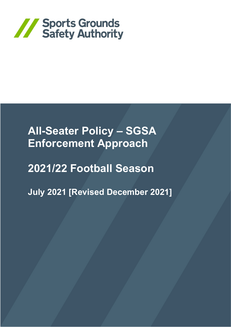

# **All-Seater Policy – SGSA Enforcement Approach**

# **2021/22 Football Season**

**July 2021 [Revised December 2021]**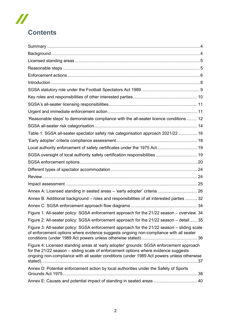# **Contents**

 $\boldsymbol{\mathit{II}}$ 

| 'Reasonable steps' to demonstrate compliance with the all-seater licence conditions 12                                                                                                                                                                                      |  |
|-----------------------------------------------------------------------------------------------------------------------------------------------------------------------------------------------------------------------------------------------------------------------------|--|
|                                                                                                                                                                                                                                                                             |  |
| Table 1: SGSA all-seater spectator safety risk categorisation approach 2021/22 16                                                                                                                                                                                           |  |
|                                                                                                                                                                                                                                                                             |  |
| Local authority enforcement of safety certificates under the 1975 Act 19                                                                                                                                                                                                    |  |
| SGSA oversight of local authority safety certification responsibilities  19                                                                                                                                                                                                 |  |
|                                                                                                                                                                                                                                                                             |  |
|                                                                                                                                                                                                                                                                             |  |
|                                                                                                                                                                                                                                                                             |  |
|                                                                                                                                                                                                                                                                             |  |
|                                                                                                                                                                                                                                                                             |  |
| Annex B: Additional background - roles and responsibilities of all interested parties  32                                                                                                                                                                                   |  |
|                                                                                                                                                                                                                                                                             |  |
| Figure 1: All-seater policy: SGSA enforcement approach for the 21/22 season - overview. 34                                                                                                                                                                                  |  |
| Figure 2: All-seater policy: SGSA enforcement approach for the 21/22 season - detail  35                                                                                                                                                                                    |  |
| Figure 3: All-seater policy: SGSA enforcement approach for the 21/22 season – sliding scale<br>of enforcement options where evidence suggests ongoing non-compliance with all seater                                                                                        |  |
| Figure 4: Licensed standing areas at 'early adopter' grounds: SGSA enforcement approach<br>for the 21/22 season - sliding scale of enforcement options where evidence suggests<br>ongoing non-compliance with all seater conditions (under 1989 Act powers unless otherwise |  |
| Annex D: Potential enforcement action by local authorities under the Safety of Sports                                                                                                                                                                                       |  |
| Annex E: Causes and potential impact of standing in seated areas  40                                                                                                                                                                                                        |  |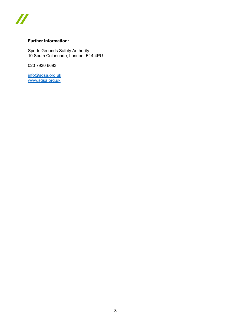

## **Further information:**

Sports Grounds Safety Authority 10 South Colonnade, London, E14 4PU

020 7930 6693

[info@sgsa.org.uk](mailto:info@sgsa.org.uk) [www.sgsa.org.uk](http://www.sgsa.org.uk/)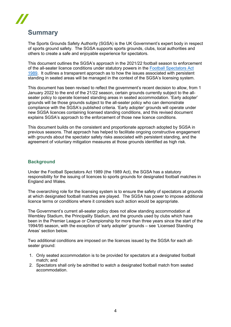## <span id="page-3-0"></span>**Summary**

The Sports Grounds Safety Authority (SGSA) is the UK Government's expert body in respect of sports ground safety. The SGSA supports sports grounds, clubs, local authorities and others to create a safe and enjoyable experience for spectators.

This document outlines the SGSA's approach in the 2021/22 football season to enforcement of the all-seater licence conditions under statutory powers in the [Football Spectators Act](https://www.legislation.gov.uk/ukpga/1989/37/contents)  [1989.](https://www.legislation.gov.uk/ukpga/1989/37/contents) It outlines a transparent approach as to how the issues associated with persistent standing in seated areas will be managed in the context of the SGSA's licensing system.

This document has been revised to reflect the government's recent decision to allow, from 1 January 2022 to the end of the 21/22 season, certain grounds currently subject to the allseater policy to operate licensed standing areas in seated accommodation. 'Early adopter' grounds will be those grounds subject to the all-seater policy who can demonstrate compliance with the SGSA's published criteria. 'Early adopter' grounds will operate under new SGSA licences containing licensed standing conditions, and this revised document explains SGSA's approach to the enforcement of those new licence conditions.

This document builds on the consistent and proportionate approach adopted by SGSA in previous seasons. That approach has helped to facilitate ongoing constructive engagement with grounds about the spectator safety risks associated with persistent standing, and the agreement of voluntary mitigation measures at those grounds identified as high risk.

## <span id="page-3-1"></span>**Background**

Under the Football Spectators Act 1989 (the 1989 Act), the SGSA has a statutory responsibility for the issuing of licences to sports grounds for designated football matches in England and Wales.

The overarching role for the licensing system is to ensure the safety of spectators at grounds at which designated football matches are played. The SGSA has power to impose additional licence terms or conditions where it considers such action would be appropriate.

The Government's current all-seater policy does not allow standing accommodation at Wembley Stadium, the Principality Stadium, and the grounds used by clubs which have been in the Premier League or Championship for more than three years since the start of the 1994/95 season, with the exception of 'early adopter' grounds – see 'Licensed Standing Areas' section below.

Two additional conditions are imposed on the licences issued by the SGSA for each allseater ground:

- 1. Only seated accommodation is to be provided for spectators at a designated football match; and
- 2. Spectators shall only be admitted to watch a designated football match from seated accommodation.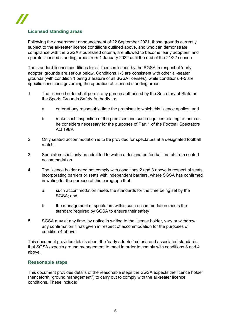

## <span id="page-4-0"></span>**Licensed standing areas**

Following the government announcement of 22 September 2021, those grounds currently subject to the all-seater licence conditions outlined above, and who can demonstrate compliance with the SGSA's published criteria, are allowed to become 'early adopters' and operate licensed standing areas from 1 January 2022 until the end of the 21/22 season.

The standard licence conditions for all licenses issued by the SGSA in respect of 'early adopter' grounds are set out below. Conditions 1-3 are consistent with other all-seater grounds (with condition 1 being a feature of all SGSA licenses), while conditions 4-5 are specific conditions governing the operation of licensed standing areas:

- 1. The licence holder shall permit any person authorised by the Secretary of State or the Sports Grounds Safety Authority to:
	- a. enter at any reasonable time the premises to which this licence applies; and
	- b. make such inspection of the premises and such enquiries relating to them as he considers necessary for the purposes of Part 1 of the Football Spectators Act 1989.
- 2. Only seated accommodation is to be provided for spectators at a designated football match.
- 3. Spectators shall only be admitted to watch a designated football match from seated accommodation.
- 4. The licence holder need not comply with conditions 2 and 3 above in respect of seats incorporating barriers or seats with independent barriers, where SGSA has confirmed in writing for the purpose of this paragraph that:
	- a. such accommodation meets the standards for the time being set by the SGSA; and
	- b. the management of spectators within such accommodation meets the standard required by SGSA to ensure their safety
- 5. SGSA may at any time, by notice in writing to the licence holder, vary or withdraw any confirmation it has given in respect of accommodation for the purposes of condition 4 above.

This document provides details about the 'early adopter' criteria and associated standards that SGSA expects ground management to meet in order to comply with conditions 3 and 4 above.

#### <span id="page-4-1"></span>**Reasonable steps**

This document provides details of the reasonable steps the SGSA expects the licence holder (henceforth "ground management") to carry out to comply with the all-seater licence conditions. These include: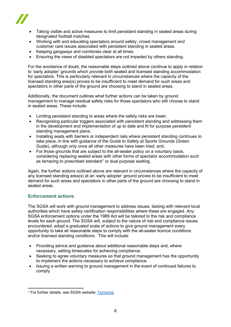

- Taking visible and active measures to limit persistent standing in seated areas during designated football matches.
- Working with and educating spectators around safety, crowd management and customer care issues associated with persistent standing in seated areas.
- Keeping gangways and vomitories clear at all times.
- Ensuring the views of disabled spectators are not impeded by others standing.

For the avoidance of doubt, the reasonable steps outlined above continue to apply in relation to 'early adopter' grounds which provide both seated and licensed standing accommodation for spectators. This is particularly relevant in circumstances where the capacity of the licensed standing area(s) proves to be insufficient to meet demand for such areas and spectators in other parts of the ground are choosing to stand in seated areas.

Additionally, the document outlines what further actions can be taken by ground management to manage residual safety risks for those spectators who still choose to stand in seated areas. These include:

- Limiting persistent standing to areas where the safety risks are lower;
- Recognising particular triggers associated with persistent standing and addressing them in the development and implementation of up to date and fit for purpose persistent standing management plans;
- Installing seats with barriers or independent rails where persistent standing continues to take place, in line with guidance of the Guide to Safety at Sports Grounds (Green Guide), although only once all other measures have been tried; and,
- For those grounds that are subject to the all-seater policy on a voluntary basis, considering replacing seated areas with other forms of spectator accommodation such as terracing to prescribed standard<sup>[1](#page-5-1)</sup> or dual purpose seating.

Again, the further actions outlined above are relevant in circumstances where the capacity of any licensed standing area(s) at an 'early adopter' ground proves to be insufficient to meet demand for such areas and spectators in other parts of the ground are choosing to stand in seated areas.

#### <span id="page-5-0"></span>**Enforcement actions**

The SGSA will work with ground management to address issues, liaising with relevant local authorities which have safety certification responsibilities where these are engaged. Any SGSA enforcement options under the 1989 Act will be tailored to the risk and compliance levels for each ground. The SGSA will, subject to the nature of risk and compliance issues encountered, adopt a graduated scale of actions to give ground management every opportunity to take all reasonable steps to comply with the all-seater licence conditions and/or licensed standing conditions. This will include:

- Providing advice and guidance about additional reasonable steps and, where necessary, setting timescales for achieving compliance.
- Seeking to agree voluntary measures so that ground management has the opportunity to implement the actions necessary to achieve compliance.
- Issuing a written warning to ground management in the event of continued failures to comply.

<span id="page-5-1"></span><sup>1</sup> For further details, see SGSA website: [Terracing](https://sgsa.org.uk/guidance/terracing/)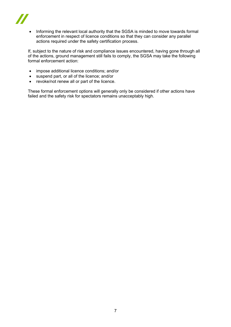

• Informing the relevant local authority that the SGSA is minded to move towards formal enforcement in respect of licence conditions so that they can consider any parallel actions required under the safety certification process.

If, subject to the nature of risk and compliance issues encountered, having gone through all of the actions, ground management still fails to comply, the SGSA may take the following formal enforcement action:

- impose additional licence conditions; and/or
- suspend part, or all of the licence; and/or
- revoke/not renew all or part of the licence.

These formal enforcement options will generally only be considered if other actions have failed and the safety risk for spectators remains unacceptably high.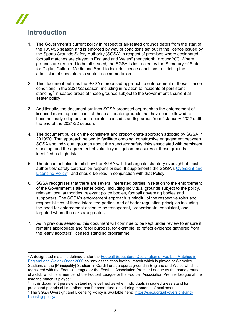# <span id="page-7-0"></span>**Introduction**

- 1. The Government's current policy in respect of all-seated grounds dates from the start of the 1994/95 season and is enforced by way of conditions set out in the licence issued by the Sports Grounds Safety Authority (SGSA) in respect of premises where designated football matches are played in England and Wales<sup>[2](#page-7-1)</sup> (henceforth "ground(s)"). Where grounds are required to be all-seated, the SGSA is instructed by the Secretary of State for Digital, Culture, Media and Sport to include licence conditions restricting the admission of spectators to seated accommodation.
- 2. This document outlines the SGSA's proposed approach to enforcement of those licence conditions in the 2021/22 season, including in relation to incidents of persistent standing<sup>3</sup> in seated areas of those grounds subject to the Government's current allseater policy.
- 3. Additionally, the document outlines SGSA proposed approach to the enforcement of licensed standing conditions at those all-seater grounds that have been allowed to become 'early adopters' and operate licensed standing areas from 1 January 2022 until the end of the 2021/22 season.
- 4. The document builds on the consistent and proportionate approach adopted by SGSA in 2019/20. That approach helped to facilitate ongoing, constructive engagement between SGSA and individual grounds about the spectator safety risks associated with persistent standing, and the agreement of voluntary mitigation measures at those grounds identified as high risk.
- 5. The document also details how the SGSA will discharge its statutory oversight of local authorities' safety certification responsibilities. It supplements the SGSA's Oversight and [Licensing Policy](https://sgsa.org.uk/oversight-and-licensing-policy/)<sup>[4](#page-7-3)</sup>, and should be read in conjunction with that Policy.
- 6. SGSA recognises that there are several interested parties in relation to the enforcement of the Government's all-seater policy, including individual grounds subject to the policy, relevant local authorities, relevant police bodies, football governing bodies and supporters. The SGSA's enforcement approach is mindful of the respective roles and responsibilities of those interested parties, and of better regulation principles including the need for enforcement action to be transparent, proportionate, consistent, and targeted where the risks are greatest.
- 7. As in previous seasons, this document will continue to be kept under review to ensure it remains appropriate and fit for purpose, for example, to reflect evidence gathered from the 'early adopters' licensed standing programme.

<span id="page-7-1"></span><sup>&</sup>lt;sup>2</sup> A designated match is defined under the Football Spectators (Designation of Football Matches in [England and Wales\) Order 2000](http://www.legislation.gov.uk/uksi/2000/3331/contents/made) as "any association football match which is played at Wembley Stadium, at the [Principality] Stadium in Cardiff or at a sports ground in England and Wales which is registered with the Football League or the Football Association Premier League as the home ground of a club which is a member of the Football League or the Football Association Premier League at the time the match is played".

<span id="page-7-2"></span><sup>3</sup> In this document persistent standing is defined as when individuals in seated areas stand for prolonged periods of time other than for short durations during moments of excitement.

<span id="page-7-3"></span><sup>4</sup> The SGSA Oversight and Licensing Policy is available here: [https://sgsa.org.uk/oversight-and](https://sgsa.org.uk/oversight-and-licensing-policy/)[licensing-policy/](https://sgsa.org.uk/oversight-and-licensing-policy/)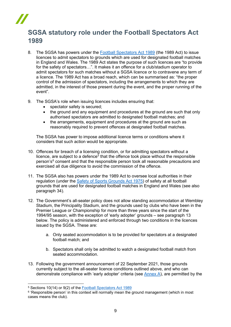## <span id="page-8-0"></span>**SGSA statutory role under the Football Spectators Act 1989**

- 8. The SGSA has powers under the [Football Spectators Act 1989](https://www.legislation.gov.uk/ukpga/1989/37/contents) (the 1989 Act) to issue licences to admit spectators to grounds which are used for designated football matches in England and Wales. The 1989 Act states the purpose of such licences are "to provide for the safety of spectators…". It makes it an offence for a club/stadium operator to admit spectators for such matches without a SGSA licence or to contravene any term of a licence. The 1989 Act has a broad reach, which can be summarised as: "the proper control of the admission of spectators, including the arrangements to which they are admitted, in the interest of those present during the event, and the proper running of the event".
- 9. The SGSA's role when issuing licences includes ensuring that:
	- spectator safety is secured;
	- the ground and any equipment and procedures at the ground are such that only authorised spectators are admitted to designated football matches; and
	- the arrangements, equipment and procedures at the ground are such as reasonably required to prevent offences at designated football matches.

The SGSA has power to impose additional licence terms or conditions where it considers that such action would be appropriate.

- 10. Offences for breach of a licensing condition, or for admitting spectators without a licence, are subject to a defence<sup>[5](#page-8-1)</sup> that the offence took place without the responsible person's<sup>[6](#page-8-2)</sup> consent and that the responsible person took all reasonable precautions and exercised all due diligence to avoid the commission of the offence.
- 11. The SGSA also has powers under the 1989 Act to oversee local authorities in their regulation (under the [Safety of Sports Grounds Act 1975\)](https://www.legislation.gov.uk/ukpga/1975/52) of safety at all football grounds that are used for designated football matches in England and Wales (see also paragraph 34).
- 12. The Government's all-seater policy does not allow standing accommodation at Wembley Stadium, the Principality Stadium, and the grounds used by clubs who have been in the Premier League or Championship for more than three years since the start of the 1994/95 season, with the exception of 'early adopter' grounds – see paragraph 13 below. The policy is administered and enforced through two conditions in the licences issued by the SGSA. These are:
	- a. Only seated accommodation is to be provided for spectators at a designated football match; and
	- b. Spectators shall only be admitted to watch a designated football match from seated accommodation.
- 13. Following the government announcement of 22 September 2021, those grounds currently subject to the all-seater licence conditions outlined above, and who can demonstrate compliance with 'early adopter' criteria (see [Annex A\)](#page-24-1), are permitted by the

<span id="page-8-1"></span><sup>5</sup> Sections 10(14) or 9(2) of the [Football Spectators Act 1989](https://www.legislation.gov.uk/ukpga/1989/37/contents)

<span id="page-8-2"></span><sup>&</sup>lt;sup>6</sup> 'Responsible person' in this context will normally mean the ground management (which in most cases means the club).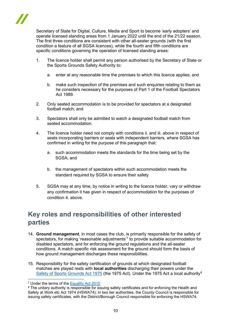

Secretary of State for Digital, Culture, Media and Sport to become 'early adopters' and operate licensed standing areas from 1 January 2022 until the end of the 21/22 season. The first three conditions are consistent with other all-seater grounds (with the first condition a feature of all SGSA licences), while the fourth and fifth conditions are specific conditions governing the operation of licensed standing areas:

- 1. The licence holder shall permit any person authorised by the Secretary of State or the Sports Grounds Safety Authority to:
	- a. enter at any reasonable time the premises to which this licence applies; and
	- b. make such inspection of the premises and such enquiries relating to them as he considers necessary for the purposes of Part 1 of the Football Spectators Act 1989.
- 2. Only seated accommodation is to be provided for spectators at a designated football match; and
- 3. Spectators shall only be admitted to watch a designated football match from seated accommodation.
- 4. The licence holder need not comply with conditions ii. and iii. above in respect of seats incorporating barriers or seats with independent barriers, where SGSA has confirmed in writing for the purpose of this paragraph that:
	- a. such accommodation meets the standards for the time being set by the SGSA; and
	- b. the management of spectators within such accommodation meets the standard required by SGSA to ensure their safety
- 5. SGSA may at any time, by notice in writing to the licence holder, vary or withdraw any confirmation it has given in respect of accommodation for the purposes of condition 4. above.

## <span id="page-9-0"></span>**Key roles and responsibilities of other interested parties**

- 14. **Ground management**, in most cases the club, is primarily responsible for the safety of spectators, for making 'reasonable adjustments'<sup>[7](#page-9-1)</sup> to provide suitable accommodation for disabled spectators, and for enforcing the ground regulations and the all-seater conditions. A match specific risk assessment for the ground should form the basis of how ground management discharges these responsibilities.
- 15. Responsibility for the safety certification of grounds at which designated football matches are played rests with **local authorities** discharging their powers under the [Safety of Sports Grounds Act](https://www.legislation.gov.uk/ukpga/1975/52) 1975 (the 1975 Act). Under the 1975 Act a local authority<sup>[8](#page-9-2)</sup>

<span id="page-9-1"></span><sup>7</sup> Under the terms of the [Equality Act 2010](https://www.legislation.gov.uk/ukpga/2010/15/contents)

<span id="page-9-2"></span><sup>&</sup>lt;sup>8</sup> The unitary authority is responsible for issuing safety certificates and for enforcing the Health and Safety at Work etc Act 1974 (HSWA74); In two tier authorities, the County Council is responsible for issuing safety certificates, with the District/Borough Council responsible for enforcing the HSWA74.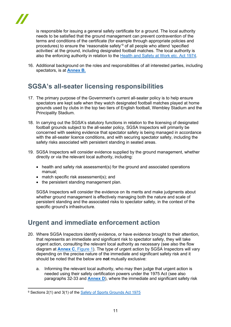is responsible for issuing a general safety certificate for a ground. The local authority needs to be satisfied that the ground management can prevent contravention of the terms and conditions of the certificate (for example through appropriate policies and procedures) to ensure the 'reasonable safety'[9](#page-10-2) of all people who attend 'specified activities' at the ground, including designated football matches. The local authority is also the enforcing authority in relation to the [Health and Safety at Work etc. Act 1974.](https://www.legislation.gov.uk/ukpga/1974/37)

16. Additional background on the roles and responsibilities of all interested parties, including spectators, is at **Annex B.**

## <span id="page-10-0"></span>**SGSA's all-seater licensing responsibilities**

- 17. The primary purpose of the Government's current all-seater policy is to help ensure spectators are kept safe when they watch designated football matches played at home grounds used by clubs in the top two tiers of English football, Wembley Stadium and the Principality Stadium.
- 18. In carrying out the SGSA's statutory functions in relation to the licensing of designated football grounds subject to the all-seater policy, SGSA Inspectors will primarily be concerned with seeking evidence that spectator safety is being managed in accordance with the all-seater licence conditions, and with securing spectator safety, including the safety risks associated with persistent standing in seated areas.
- 19. SGSA Inspectors will consider evidence supplied by the ground management, whether directly or via the relevant local authority, including:
	- health and safety risk assessment(s) for the ground and associated operations manual;
	- match specific risk assessment(s); and
	- the persistent standing management plan.

SGSA Inspectors will consider the evidence on its merits and make judgments about whether ground management is effectively managing both the nature and scale of persistent standing and the associated risks to spectator safety, in the context of the specific ground's infrastructure.

## <span id="page-10-1"></span>**Urgent and immediate enforcement action**

- 20. Where SGSA Inspectors identify evidence, or have evidence brought to their attention, that represents an immediate and significant risk to spectator safety, they will take urgent action, consulting the relevant local authority as necessary (see also the flow diagram at **[Annex C](#page-33-1)**, Figure 1). The type of urgent action by SGSA Inspectors will vary depending on the precise nature of the immediate and significant safety risk and it should be noted that the below are **not** mutually exclusive:
	- a. Informing the relevant local authority, who may then judge that urgent action is needed using their safety certification powers under the 1975 Act (see also paragraphs 32-33 and **Annex D**), where the immediate and significant safety risk

<span id="page-10-2"></span><sup>9</sup> Sections 2(1) and 3(1) of the [Safety of Sports Grounds Act 1975](https://www.legislation.gov.uk/ukpga/1975/52)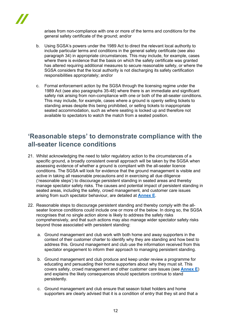

arises from non-compliance with one or more of the terms and conditions for the general safety certificate of the ground; and/or

- b. Using SGSA's powers under the 1989 Act to direct the relevant local authority to include particular terms and conditions in the general safety certificate (see also paragraph 34) in appropriate circumstances. This may include, for example, cases where there is evidence that the basis on which the safety certificate was granted has altered requiring additional measures to secure reasonable safety, or where the SGSA considers that the local authority is not discharging its safety certification responsibilities appropriately; and/or
- c. Formal enforcement action by the SGSA through the licensing regime under the 1989 Act (see also paragraphs 35-48) where there is an immediate and significant safety risk arising from non-compliance with one or both of the all-seater conditions. This may include, for example, cases where a ground is openly selling tickets to standing areas despite this being prohibited, or selling tickets to inappropriate seated accommodation, such as where seating is locked up and therefore not available to spectators to watch the match from a seated position.

## <span id="page-11-0"></span>**'Reasonable steps' to demonstrate compliance with the all-seater licence conditions**

- 21. Whilst acknowledging the need to tailor regulatory action to the circumstances of a specific ground, a broadly consistent overall approach will be taken by the SGSA when assessing evidence of whether a ground is compliant with the all-seater licence conditions. The SGSA will look for evidence that the ground management is visible and active in taking all reasonable precautions and in exercising all due diligence ('reasonable steps') to discourage persistent standing in seated areas and thereby manage spectator safety risks. The causes and potential impact of persistent standing in seated areas, including the safety, crowd management, and customer care issues arising from such spectator behaviour, are detailed at **[Annex](#page-39-0) E**.
- 22. Reasonable steps to discourage persistent standing and thereby comply with the allseater licence conditions could include one or more of the below. In doing so, the SGSA recognises that no single action alone is likely to address the safety risks comprehensively, and that such actions may also manage wider spectator safety risks beyond those associated with persistent standing:
	- a. Ground management and club work with both home and away supporters in the context of their customer charter to identify why they are standing and how best to address this. Ground management and club use the information received from this spectator engagement to inform their approach to managing persistent standing.
	- b. Ground management and club produce and keep under review a programme for educating and persuading their home supporters about why they must sit. This covers safety, crowd management and other customer care issues (see **[Annex E](#page-39-0)**) and explains the likely consequences should spectators continue to stand persistently.
	- c. Ground management and club ensure that season ticket holders and home supporters are clearly advised that it is a condition of entry that they sit and that a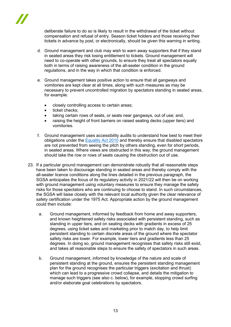

deliberate failure to do so is likely to result in the withdrawal of the ticket without compensation and refusal of entry. Season ticket holders and those receiving their tickets in advance by post, or electronically, should be given this warning in writing.

- d. Ground management and club may wish to warn away supporters that if they stand in seated areas they risk losing entitlement to tickets. Ground management will need to co-operate with other grounds, to ensure they treat all spectators equally both in terms of raising awareness of the all-seater condition in the ground regulations, and in the way in which that condition is enforced.
- e. Ground management takes positive action to ensure that all gangways and vomitories are kept clear at all times, along with such measures as may be necessary to prevent uncontrolled migration by spectators standing in seated areas, for example:
	- closely controlling access to certain areas;
	- ticket checks:
	- taking certain rows of seats, or seats near gangways, out of use; and,
	- raising the height of front barriers on raised seating decks (upper tiers) and vomitories.
- f. Ground management uses accessibility audits to understand how best to meet their obligations under the [Equality Act 2010](https://www.legislation.gov.uk/ukpga/2010/15/contents) and thereby ensure that disabled spectators are not prevented from seeing the pitch by others standing, even for short periods, in seated areas. Where views are obstructed in this way, the ground management should take the row or rows of seats causing the obstruction out of use.
- 23. If a particular ground management can demonstrate robustly that all reasonable steps have been taken to discourage standing in seated areas and thereby comply with the all-seater licence conditions along the lines detailed in the previous paragraph, the SGSA anticipates the focus of its regulatory activity in 2021/22 will then be on working with ground management using voluntary measures to ensure they manage the safety risks for those spectators who are continuing to choose to stand. In such circumstances, the SGSA will liaise closely with the relevant local authority given the clear relevance of safety certification under the 1975 Act. Appropriate action by the ground management could then include:
	- a. Ground management, informed by feedback from home and away supporters, and known heightened safety risks associated with persistent standing, such as standing in upper tiers, and on seating decks with gradients in excess of 25 degrees, using ticket sales and marketing prior to match day, to help limit persistent standing to certain discrete areas of the ground where the spectator safety risks are lower. For example, lower tiers and gradients less than 25 degrees. In doing so, ground management recognises that safety risks still exist, and takes all reasonable steps to ensure the safety of spectators in such areas.
	- b. Ground management, informed by knowledge of the nature and scale of persistent standing at the ground, ensures the persistent standing management plan for the ground recognises the particular triggers (excitation and thrust) which can lead to a progressive crowd collapse, and details the mitigation to manage such triggers (see also c. below), for example, stopping crowd surfing and/or elaborate goal celebrations by spectators.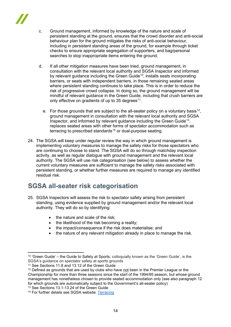- c. Ground management, informed by knowledge of the nature and scale of persistent standing at the ground, ensures that the crowd disorder and anti-social behaviour plan for the ground mitigates the risks of anti-social behaviour, including in persistent standing areas of the ground, for example through ticket checks to ensure appropriate segregation of supporters, and bag/personal searches to stop inappropriate items entering the ground.
- d. If all other mitigation measures have been tried, ground management, in consultation with the relevant local authority and SGSA Inspector and informed by relevant guidance including the Green Guide<sup>[10](#page-13-1)</sup>, installs seats incorporating barriers, or seats with independent barriers, in those remaining seated areas where persistent standing continues to take place. This is in order to reduce the risk of progressive crowd collapse. In doing so, the ground management will be mindful of relevant guidance in the Green Guide, including that crush barriers are only effective on gradients of up to 35 degrees<sup>11</sup>.
	- e. For those grounds that are subject to the all-seater policy on a voluntary basis<sup>[12](#page-13-3)</sup>, ground management in consultation with the relevant local authority and SGSA Inspector, and informed by relevant quidance including the Green Guide<sup>13</sup>, replaces seated areas with other forms of spectator accommodation such as terracing to prescribed standards<sup>[14](#page-13-5)</sup> or dual-purpose seating.
- 24. The SGSA will keep under regular review the way in which ground management is implementing voluntary measures to manage the safety risks for those spectators who are continuing to choose to stand. The SGSA will do so through matchday inspection activity, as well as regular dialogue with ground management and the relevant local authority. The SGSA will use risk categorisation (see below) to assess whether the current voluntary measures are sufficient to manage the safety risks associated with persistent standing, or whether further measures are required to manage any identified residual risk.

## <span id="page-13-0"></span>**SGSA all-seater risk categorisation**

- 25. SGSA Inspectors will assess the risk to spectator safety arising from persistent standing, using evidence supplied by ground management and/or the relevant local authority. They will do so by identifying:
	- the nature and scale of the risk;
	- the likelihood of the risk becoming a reality;
	- the impact/consequence if the risk does materialise; and
	- the nature of any relevant mitigation already in place to manage the risk.

<span id="page-13-4"></span><sup>13</sup> See Sections 13.1-13.24 of the Green Guide

<span id="page-13-1"></span><sup>&</sup>lt;sup>10</sup> 'Green Guide' – the Guide to Safety at Sports, colloquially known as the 'Green Guide', is the SGSA's guidance on spectator safety at sports grounds

<span id="page-13-2"></span><sup>&</sup>lt;sup>11</sup> See Sections 11.8 and 13.12 of the Green Guide

<span id="page-13-3"></span> $12$  Defined as grounds that are used by clubs who have not been in the Premier League or the Championship for more than three seasons since the start of the 1994/95 season, but whose ground management has nonetheless chosen to provide seated accommodation only (see also paragraph 12 for which grounds are automatically subject to the Government's all-seater policy)

<span id="page-13-5"></span><sup>&</sup>lt;sup>14</sup> For further details see SGSA website: [Terracing](https://sgsa.org.uk/guidance/terracing/)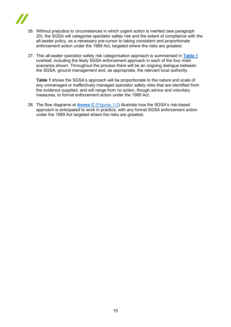

- 26. Without prejudice to circumstances in which urgent action is merited (see paragraph 20), the SGSA will categorise spectator safety risk and the extent of compliance with the all-seater policy, as a necessary pre-cursor to taking consistent and proportionate enforcement action under the 1989 Act, targeted where the risks are greatest.
- 27. This all-seater spectator safety risk categorisation approach is summarised in **[Table 1](#page-15-0)** overleaf, including the likely SGSA enforcement approach in each of the four main scenarios shown. Throughout the process there will be an ongoing dialogue between the SGSA, ground management and, as appropriate, the relevant local authority.

**Table 1** shows the SGSA's approach will be proportionate to the nature and scale of any unmanaged or ineffectively managed spectator safety risks that are identified from the evidence supplied, and will range from no action, though advice and voluntary measures, to formal enforcement action under the 1989 Act.

28. The flow diagrams at **Annex C** [\(Figures 1-2\)](#page-33-1) illustrate how the SGSA's risk-based approach is anticipated to work in practice, with any formal SGSA enforcement action under the 1989 Act targeted where the risks are greatest.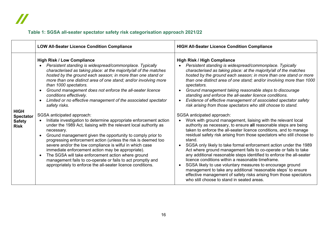## **Table 1: SGSA all-seater spectator safety risk categorisation approach 2021/22**

<span id="page-15-0"></span>

|                                                                 | <b>LOW All-Seater Licence Condition Compliance</b>                                                                                                                                                                                                                                                                                                                                                                                                                                                                                                                                                                                                                                                                                                                                                                                                                                                                                                                                                                                                                                                                                  | <b>HIGH All-Seater Licence Condition Compliance</b>                                                                                                                                                                                                                                                                                                                                                                                                                                                                                                                                                                                                                                                                                                                                                                                                                                                                                                                                                                                                                                                                                                                                                                                                                                                                                                                                                                                           |
|-----------------------------------------------------------------|-------------------------------------------------------------------------------------------------------------------------------------------------------------------------------------------------------------------------------------------------------------------------------------------------------------------------------------------------------------------------------------------------------------------------------------------------------------------------------------------------------------------------------------------------------------------------------------------------------------------------------------------------------------------------------------------------------------------------------------------------------------------------------------------------------------------------------------------------------------------------------------------------------------------------------------------------------------------------------------------------------------------------------------------------------------------------------------------------------------------------------------|-----------------------------------------------------------------------------------------------------------------------------------------------------------------------------------------------------------------------------------------------------------------------------------------------------------------------------------------------------------------------------------------------------------------------------------------------------------------------------------------------------------------------------------------------------------------------------------------------------------------------------------------------------------------------------------------------------------------------------------------------------------------------------------------------------------------------------------------------------------------------------------------------------------------------------------------------------------------------------------------------------------------------------------------------------------------------------------------------------------------------------------------------------------------------------------------------------------------------------------------------------------------------------------------------------------------------------------------------------------------------------------------------------------------------------------------------|
| <b>HIGH</b><br><b>Spectator</b><br><b>Safety</b><br><b>Risk</b> | <b>High Risk / Low Compliance</b><br>Persistent standing is widespread/commonplace. Typically<br>characterised as taking place: at the majority/all of the matches<br>hosted by the ground each season; in more than one stand or<br>more than one distinct area of one stand; and/or involving more<br>than 1000 spectators.<br>Ground management does not enforce the all-seater licence<br>conditions effectively.<br>Limited or no effective management of the associated spectator<br>safety risks.<br>SGSA anticipated approach:<br>Initiate investigation to determine appropriate enforcement action<br>under the 1989 Act, liaising with the relevant local authority as<br>necessary.<br>Ground management given the opportunity to comply prior to<br>progressing enforcement action (unless the risk is deemed too<br>severe and/or the low compliance is wilful in which case<br>immediate enforcement action may be appropriate).<br>The SGSA will take enforcement action where ground<br>management fails to co-operate or fails to act promptly and<br>appropriately to enforce the all-seater licence conditions. | <b>High Risk / High Compliance</b><br>Persistent standing is widespread/commonplace. Typically<br>characterised as taking place: at the majority/all of the matches<br>hosted by the ground each season; in more than one stand or more<br>than one distinct area of one stand; and/or involving more than 1000<br>spectators.<br>Ground management taking reasonable steps to discourage<br>standing and enforce the all-seater licence conditions.<br>Evidence of effective management of associated spectator safety<br>risk arising from those spectators who still choose to stand.<br>SGSA anticipated approach:<br>Work with ground management, liaising with the relevant local<br>authority as necessary, to ensure all reasonable steps are being<br>taken to enforce the all-seater licence conditions, and to manage<br>residual safety risk arising from those spectators who still choose to<br>stand.<br>SGSA only likely to take formal enforcement action under the 1989<br>Act where ground management fails to co-operate or fails to take<br>any additional reasonable steps identified to enforce the all-seater<br>licence conditions within a reasonable timeframe.<br>SGSA likely to use voluntary measures to encourage ground<br>management to take any additional 'reasonable steps' to ensure<br>effective management of safety risks arising from those spectators<br>who still choose to stand in seated areas. |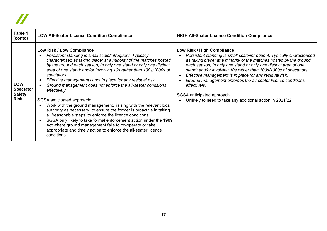# $\boldsymbol{\mathit{II}}$

| Table 1<br>(contd)                                             | <b>LOW All-Seater Licence Condition Compliance</b>                                                                                                                                                                                                                                                                                                                                                                                                                                                                                                                                                                                                                                                                                                                                                                                                                                                                           | <b>HIGH All-Seater Licence Condition Compliance</b>                                                                                                                                                                                                                                                                                                                                                                                                                                                                                                      |
|----------------------------------------------------------------|------------------------------------------------------------------------------------------------------------------------------------------------------------------------------------------------------------------------------------------------------------------------------------------------------------------------------------------------------------------------------------------------------------------------------------------------------------------------------------------------------------------------------------------------------------------------------------------------------------------------------------------------------------------------------------------------------------------------------------------------------------------------------------------------------------------------------------------------------------------------------------------------------------------------------|----------------------------------------------------------------------------------------------------------------------------------------------------------------------------------------------------------------------------------------------------------------------------------------------------------------------------------------------------------------------------------------------------------------------------------------------------------------------------------------------------------------------------------------------------------|
| <b>LOW</b><br><b>Spectator</b><br><b>Safety</b><br><b>Risk</b> | Low Risk / Low Compliance<br>Persistent standing is small scale/infrequent. Typically<br>characterised as taking place: at a minority of the matches hosted<br>by the ground each season; in only one stand or only one distinct<br>area of one stand; and/or involving 10s rather than 100s/1000s of<br>spectators.<br>Effective management is not in place for any residual risk.<br>Ground management does not enforce the all-seater conditions<br>effectively.<br>SGSA anticipated approach:<br>Work with the ground management, liaising with the relevant local<br>authority as necessary, to ensure the former is proactive in taking<br>all 'reasonable steps' to enforce the licence conditions.<br>SGSA only likely to take formal enforcement action under the 1989<br>Act where ground management fails to co-operate or take<br>appropriate and timely action to enforce the all-seater licence<br>conditions. | Low Risk / High Compliance<br>Persistent standing is small scale/infrequent. Typically characterised<br>as taking place: at a minority of the matches hosted by the ground<br>each season; in only one stand or only one distinct area of one<br>stand; and/or involving 10s rather than 100s/1000s of spectators<br>Effective management is in place for any residual risk.<br>Ground management enforces the all-seater licence conditions<br>effectively.<br>SGSA anticipated approach:<br>Unlikely to need to take any additional action in 2021/22. |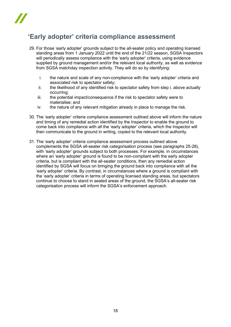## <span id="page-17-0"></span>**'Early adopter' criteria compliance assessment**

- 29. For those 'early adopter' grounds subject to the all-seater policy and operating licensed standing areas from 1 January 2022 until the end of the 21/22 season, SGSA Inspectors will periodically assess compliance with the 'early adopter' criteria, using evidence supplied by ground management and/or the relevant local authority, as well as evidence from SGSA matchday inspection activity. They will do so by identifying:
	- i. the nature and scale of any non-compliance with the 'early adopter' criteria and associated risk to spectator safety;
	- ii. the likelihood of any identified risk to spectator safety from step i. above actually occurring;
	- iii. the potential impact/consequence if the risk to spectator safety were to materialise; and
	- iv. the nature of any relevant mitigation already in place to manage the risk.
- 30. The 'early adopter' criteria compliance assessment outlined above will inform the nature and timing of any remedial action identified by the Inspector to enable the ground to come back into compliance with all the 'early adopter' criteria, which the Inspector will then communicate to the ground in writing, copied to the relevant local authority.
- 31. The 'early adopter' criteria compliance assessment process outlined above complements the SGSA all-seater risk categorisation process (see paragraphs 25-28), with 'early adopter' grounds subject to both processes. For example, in circumstances where an 'early adopter' ground is found to be non-compliant with the early adopter criteria, but is compliant with the all-seater conditions, then any remedial action identified by SGSA will focus on bringing the ground back into compliance with all the 'early adopter' criteria. By contrast, in circumstances where a ground is compliant with the 'early adopter' criteria in terms of operating licensed standing areas, but spectators continue to choose to stand in seated areas of the ground, the SGSA's all-seater risk categorisation process will inform the SGSA's enforcement approach.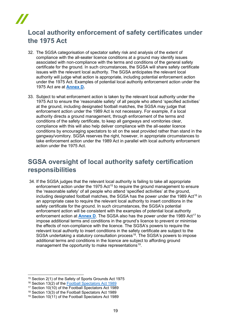## <span id="page-18-0"></span>**Local authority enforcement of safety certificates under the 1975 Act**

- 32. The SGSA categorisation of spectator safety risk and analysis of the extent of compliance with the all-seater licence conditions at a ground may identify issues associated with non-compliance with the terms and conditions of the general safety certificate for the ground. In such circumstances, the SGSA will share safety certificate issues with the relevant local authority. The SGSA anticipates the relevant local authority will judge what action is appropriate, including potential enforcement action under the 1975 Act. Examples of potential local authority enforcement action under the 1975 Act are at **[Annex D](#page-36-0).**
- 33. Subject to what enforcement action is taken by the relevant local authority under the 1975 Act to ensure the 'reasonable safety' of all people who attend 'specified activities' at the ground, including designated football matches, the SGSA may judge that enforcement action under the 1989 Act is not necessary. For example, if a local authority directs a ground management, through enforcement of the terms and conditions of the safety certificate, to keep all gangways and vomitories clear, compliance with this will also help deliver compliance with the all-seater licence conditions by encouraging spectators to sit on the seat provided rather than stand in the gangway/vomitory. SGSA reserves the right, however, in appropriate circumstances to take enforcement action under the 1989 Act in parallel with local authority enforcement action under the 1975 Act.

## <span id="page-18-1"></span>**SGSA oversight of local authority safety certification responsibilities**

34. If the SGSA judges that the relevant local authority is failing to take all appropriate enforcement action under the 1975 Act<sup>[15](#page-18-2)</sup> to require the ground management to ensure the 'reasonable safety' of all people who attend 'specified activities' at the ground, including designated football matches, the SGSA has the power under the 1989 Act<sup>[16](#page-18-3)</sup> in an appropriate case to require the relevant local authority to insert conditions in the safety certificate for the ground. In such circumstances, the SGSA's potential enforcement action will be consistent with the examples of potential local authority enforcement action at **[Annex D](#page-37-0)**. The SGSA also has the power under the 1989 Act<sup>[17](#page-18-4)</sup> to impose additional terms and conditions in the ground's licence to prevent or minimise the effects of non-compliance with the licence. The SGSA's powers to require the relevant local authority to insert conditions in the safety certificate are subject to the SGSA undertaking a statutory consultation process<sup>[18](#page-18-5)</sup>. The SGSA's powers to impose additional terms and conditions in the licence are subject to affording ground management the opportunity to make representations<sup>19</sup>.

<span id="page-18-2"></span><sup>15</sup> Section 2(1) of the Safety of Sports Grounds Act 1975

<span id="page-18-3"></span><sup>16</sup> Section 13(2) of the [Football Spectators Act 1989](https://www.legislation.gov.uk/ukpga/1989/37/contents)

<sup>17</sup> Section 10(10) of the Football Spectators Act 1989

<span id="page-18-5"></span><span id="page-18-4"></span><sup>18</sup> Section 13(3) of the Football Spectators Act 1989

<span id="page-18-6"></span><sup>19</sup> Section 10(11) of the Football Spectators Act 1989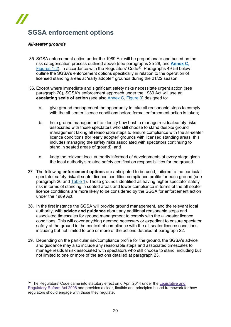# **SGSA enforcement options**

#### <span id="page-19-0"></span>*All-seater grounds*

- 35. SGSA enforcement action under the 1989 Act will be proportionate and based on the risk categorisation process outlined above (see paragraphs 25-28, and **[Annex C](#page-33-1)**, [Figures 1-2\)](#page-33-1), in accordance with the Regulators' Code[20](#page-19-1). Paragraphs 49-56 below outline the SGSA's enforcement options specifically in relation to the operation of licensed standing areas at 'early adopter' grounds during the 21/22 season.
- 36. Except where immediate and significant safety risks necessitate urgent action (see paragraph 20), SGSA's enforcement approach under the 1989 Act will use an **escalating scale of action** (see also [Annex C, Figure 3\)](#page-35-0) designed to:
	- a. give ground management the opportunity to take all reasonable steps to comply with the all-seater licence conditions before formal enforcement action is taken:
	- b. help ground management to identify how best to manage residual safety risks associated with those spectators who still choose to stand despite ground management taking all reasonable steps to ensure compliance with the all-seater licence conditions (for 'early adopter' grounds with licensed standing areas, this includes managing the safety risks associated with spectators continuing to stand in seated areas of ground); and
	- c. keep the relevant local authority informed of developments at every stage given the local authority's related safety certification responsibilities for the ground.
- 37. The following **enforcement options** are anticipated to be used, tailored to the particular spectator safety risk/all-seater licence condition compliance profile for each ground (see paragraph 26 and [Table 1\)](#page-15-0). Those grounds identified as having higher spectator safety risk in terms of standing in seated areas and lower compliance in terms of the all-seater licence conditions are more likely to be considered by the SGSA for enforcement action under the 1989 Act.
- 38. In the first instance the SGSA will provide ground management, and the relevant local authority, with **advice and guidance** about any additional reasonable steps and associated timescales for ground management to comply with the all-seater licence conditions. This will cover anything deemed necessary or expedient to ensure spectator safety at the ground in the context of compliance with the all-seater licence conditions, including but not limited to one or more of the actions detailed at paragraph 22.
- 39. Depending on the particular risk/compliance profile for the ground, the SGSA's advice and guidance may also include any reasonable steps and associated timescales to manage residual risk associated with spectators who still choose to stand, including but not limited to one or more of the actions detailed at paragraph 23.

<span id="page-19-1"></span> $20$  The Regulators' Code came into statutory effect on 6 April 2014 under the [Legislative](http://www.legislation.gov.uk/ukpga/2006/51/contents) and [Regulatory](http://www.legislation.gov.uk/ukpga/2006/51/contents) Reform Act 2006 and provides a clear, flexible and principles-based framework for how regulators should engage with those they regulate.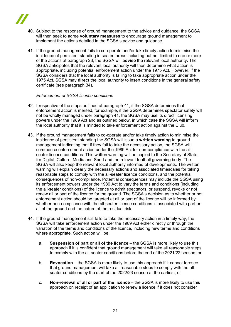

- 40. Subject to the response of ground management to the advice and guidance, the SGSA will then seek to agree **voluntary measures** to encourage ground management to implement the actions detailed in the SGSA's advice and guidance.
- 41. If the ground management fails to co-operate and/or take timely action to minimise the incidence of persistent standing in seated areas including but not limited to one or more of the actions at paragraph 23, the SGSA will **advise** the relevant local authority**.** The SGSA anticipates that the relevant local authority will then determine what action is appropriate, including potential enforcement action under the 1975 Act. However, if the SGSA considers that the local authority is failing to take appropriate action under the 1975 Act, SGSA may **direct** the local authority to insert conditions in the general safety certificate (see paragraph 34).

#### *Enforcement of SGSA licence conditions*

- 42. Irrespective of the steps outlined at paragraph 41, if the SGSA determines that enforcement action is merited, for example, if the SGSA determines spectator safety will not be wholly managed under paragraph 41, the SGSA may use its direct licensing powers under the 1989 Act and as outlined below, in which case the SGSA will inform the local authority that it is minded to take enforcement action against the Club.
- 43. If the ground management fails to co-operate and/or take timely action to minimise the incidence of persistent standing the SGSA will issue a **written warning** to ground management indicating that if they fail to take the necessary action, the SGSA will commence enforcement action under the 1989 Act for non-compliance with the allseater licence conditions. This written warning will be copied to the Secretary of State for Digital, Culture, Media and Sport and the relevant football governing body. The SGSA will also keep the relevant local authority informed of developments. The written warning will explain clearly the necessary actions and associated timescales for taking reasonable steps to comply with the all-seater licence conditions, and the potential consequences of non-compliance. Potential consequences may include the SGSA using its enforcement powers under the 1989 Act to vary the terms and conditions (including the all-seater conditions) of the licence to admit spectators, or suspend, revoke or not renew all or part of the licence for the ground. The SGSA's decision as to whether or not enforcement action should be targeted at all or part of the licence will be informed by whether non-compliance with the all-seater licence conditions is associated with part or all of the ground and the nature of the residual risk.
- 44. If the ground management still fails to take the necessary action in a timely way, the SGSA will take enforcement action under the 1989 Act either directly or through the variation of the terms and conditions of the licence, including new terms and conditions where appropriate. Such action will be:
	- a. **Suspension of part or all of the licence** the SGSA is more likely to use this approach if it is confident that ground management will take all reasonable steps to comply with the all-seater conditions before the end of the 2021/22 season; or
	- b. **Revocation** the SGSA is more likely to use this approach if it cannot foresee that ground management will take all reasonable steps to comply with the allseater conditions by the start of the 2022/23 season at the earliest; or
	- c. **Non-renewal of all or part of the licence** the SGSA is more likely to use this approach on receipt of an application to renew a licence if it does not consider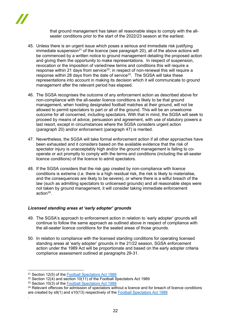

that ground management has taken all reasonable steps to comply with the allseater conditions prior to the start of the 2022/23 season at the earliest.

- 45. Unless there is an urgent issue which poses a serious and immediate risk justifying immediate suspension<sup>[21](#page-21-0)</sup> of the licence (see paragraph 20), all of the above actions will be commenced by a written notice to ground management detailing the proposed action and giving them the opportunity to make representations. In respect of suspension, revocation or the imposition of varied/new terms and conditions this will require a response within 21 days from service<sup>[22](#page-21-1)</sup>; in respect of non-renewal this will require a response within 28 days from the date of service<sup>23</sup>. The SGSA will take these representations into account in making its decision which it will communicate to ground management after the relevant period has elapsed.
- 46. The SGSA recognises the outcome of any enforcement action as described above for non-compliance with the all-seater licence conditions is likely to be that ground management, when hosting designated football matches at their ground, will not be allowed to permit spectators to part or all of the ground. This will be an unwelcome outcome for all concerned, including spectators. With that in mind, the SGSA will seek to proceed by means of advice, persuasion and agreement, with use of statutory powers a last resort, except in circumstances where the SGSA considers urgent action (paragraph 20) and/or enforcement (paragraph 47) is merited.
- 47. Nevertheless, the SGSA will take formal enforcement action if all other approaches have been exhausted and it considers based on the available evidence that the risk of spectator injury is unacceptably high and/or the ground management is failing to cooperate or act promptly to comply with the terms and conditions (including the all-seater licence conditions) of the licence to admit spectators.
- 48. If the SGSA considers that the risk gap created by non-compliance with licence conditions is extreme (i.e. there is a high residual risk, the risk is likely to materialise, and the consequences are likely to be severe), or where there is a wilful breach of the law (such as admitting spectators to unlicensed grounds) and all reasonable steps were not taken by ground management, it will consider taking immediate enforcement action $24$ .

#### *Licensed standing areas at 'early adopter' grounds*

- 49. The SGSA's approach to enforcement action in relation to 'early adopter' grounds will continue to follow the same approach as outlined above in respect of compliance with the all-seater licence conditions for the seated areas of those grounds.
- 50. In relation to compliance with the licensed standing conditions for operating licensed standing areas at 'early adopter' grounds in the 21/22 season, SGSA enforcement action under the 1989 Act will be proportionate and based on the early adopter criteria compliance assessment outlined at paragraphs 29-31.

.

<span id="page-21-0"></span><sup>21</sup> Section 12(5) of the [Football Spectators Act 1989](https://www.legislation.gov.uk/ukpga/1989/37/contents)

<span id="page-21-1"></span><sup>&</sup>lt;sup>22</sup> Section 12(4) and section 10(11) of the Football Spectators Act 1989

<span id="page-21-2"></span><sup>&</sup>lt;sup>23</sup> Section  $10(3)$  of the [Football Spectators Act 1989](https://www.legislation.gov.uk/ukpga/1989/37/contents)

<span id="page-21-3"></span> $24$  Relevant offences for admission of spectators without a licence and for breach of licence conditions are created by s9(1) and s10(13) respectively of the [Football Spectators Act 1989](https://www.legislation.gov.uk/ukpga/1989/37/contents)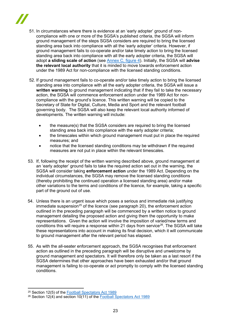

- 51. In circumstances where there is evidence at an 'early adopter' ground of noncompliance with one or more of the SGSA's published criteria, the SGSA will inform ground management of the steps SGSA considers are required to bring the licensed standing area back into compliance with all the 'early adopter' criteria. However, if ground management fails to co-operate and/or take timely action to bring the licensed standing area back into compliance with all the early adopter criteria, the SGSA will adopt **a sliding scale of action** (see [Annex C, figure 4\)](#page-36-0). Initially, the SGSA will **advise the relevant local authority** that it is minded to move towards enforcement action under the 1989 Act for non-compliance with the licensed standing conditions.
- 52. If ground management fails to co-operate and/or take timely action to bring the licensed standing area into compliance with all the early adopter criteria, the SGSA will issue a **written warning** to ground management indicating that if they fail to take the necessary action, the SGSA will commence enforcement action under the 1989 Act for noncompliance with the ground's licence. This written warning will be copied to the Secretary of State for Digital, Culture, Media and Sport and the relevant football governing body. The SGSA will also keep the relevant local authority informed of developments. The written warning will include:
	- the measure(s) that the SGSA considers are required to bring the licensed standing area back into compliance with the early adopter criteria;
	- the timescales within which ground management must put in place the required measures; and
	- notice that the licensed standing conditions may be withdrawn if the required measures are not put in place within the relevant timescales.
- 53. If, following the receipt of the written warning described above, ground management at an 'early adopter' ground fails to take the required action set out in the warning, the SGSA will consider taking **enforcement action** under the 1989 Act. Depending on the individual circumstances, the SGSA may remove the licensed standing conditions (thereby prohibiting the continued operation a licensed standing area) and/or make other variations to the terms and conditions of the licence, for example, taking a specific part of the ground out of use.
- 54. Unless there is an urgent issue which poses a serious and immediate risk justifying  $immediate$  suspension<sup>[25](#page-22-0)</sup> of the licence (see paragraph 20), the enforcement action outlined in the preceding paragraph will be commenced by a written notice to ground management detailing the proposed action and giving them the opportunity to make representations. Given the action will involve the imposition of varied/new terms and conditions this will require a response within 21 days from service<sup>[26](#page-22-1)</sup>. The SGSA will take these representations into account in making its final decision, which it will communicate to ground management after the relevant period has elapsed.
- 55. As with the all-seater enforcement approach, the SGSA recognises that enforcement action as outlined in the preceding paragraph will be disruptive and unwelcome by ground management and spectators. It will therefore only be taken as a last resort if the SGSA determines that other approaches have been exhausted and/or that ground management is failing to co-operate or act promptly to comply with the licensed standing conditions.

<span id="page-22-0"></span><sup>25</sup> Section 12(5) of the [Football Spectators Act 1989](https://www.legislation.gov.uk/ukpga/1989/37/contents)

<span id="page-22-1"></span><sup>26</sup> Section 12(4) and section 10(11) of the [Football Spectators Act 1989](https://www.legislation.gov.uk/ukpga/1989/37/contents)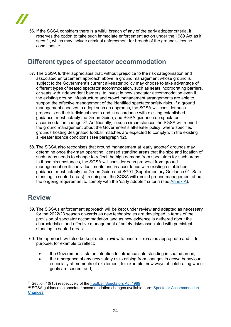56. If the SGSA considers there is a wilful breach of any of the early adopter criteria, it reserves the option to take such immediate enforcement action under the 1989 Act as it sees fit, which may include criminal enforcement for breach of the ground's licence conditions. [27](#page-23-2)

## <span id="page-23-0"></span>**Different types of spectator accommodation**

- 57. The SGSA further appreciates that, without prejudice to the risk categorisation and associated enforcement approach above, a ground management whose ground is subject to the Government's current all-seater policy may choose to take advantage of different types of seated spectator accommodation, such as seats incorporating barriers, or seats with independent barriers, to invest in new spectator accommodation even if the existing ground infrastructure and crowd management arrangements are able to support the effective management of the identified spectator safety risks. If a ground management chooses to adopt such an approach, the SGSA will consider such proposals on their individual merits and in accordance with existing established guidance, most notably the Green Guide, and SGSA guidance on spectator accommodation changes<sup>28</sup>. Additionally, in such circumstances the SGSA will remind the ground management about the Government's all-seater policy, where specified grounds hosting designated football matches are expected to comply with the existing all-seater licence conditions (see paragraph 12).
- 58. The SGSA also recognises that ground management at 'early adopter' grounds may determine once they start operating licensed standing areas that the size and location of such areas needs to change to reflect the high demand from spectators for such areas. In those circumstances, the SGSA will consider each proposal from ground management on its individual merits and in accordance with existing established guidance, most notably the Green Guide and SG01 (Supplementary Guidance 01: Safe standing in seated areas). In doing so, the SGSA will remind ground management about the ongoing requirement to comply with the 'early adopter' criteria (see [Annex A\)](#page-24-1).

## <span id="page-23-1"></span>**Review**

- 59. The SGSA's enforcement approach will be kept under review and adapted as necessary for the 2022/23 season onwards as new technologies are developed in terms of the provision of spectator accommodation, and as new evidence is gathered about the characteristics and effective management of safety risks associated with persistent standing in seated areas.
- 60. The approach will also be kept under review to ensure it remains appropriate and fit for purpose, for example to reflect:
	- the Government's stated intention to introduce safe standing in seated areas;
	- the emergence of any new safety risks arising from changes in crowd behaviour, especially at moments of excitement, for example, new ways of celebrating when goals are scored; and,

<span id="page-23-2"></span><sup>27</sup> Section 10(13) respectively of the [Football Spectators Act 1989](https://www.legislation.gov.uk/ukpga/1989/37/contents)

<span id="page-23-3"></span><sup>28</sup> SGSA guidance on spectator accommodation changes available here: [Spectator Accommodation](https://sgsa.org.uk/spectator-accommodation/)  **[Changes](https://sgsa.org.uk/spectator-accommodation/)**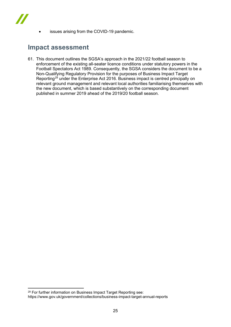

issues arising from the COVID-19 pandemic.

## <span id="page-24-0"></span>**Impact assessment**

<span id="page-24-1"></span>61. This document outlines the SGSA's approach in the 2021/22 football season to enforcement of the existing all-seater licence conditions under statutory powers in the Football Spectators Act 1989. Consequently, the SGSA considers the document to be a Non-Qualifying Regulatory Provision for the purposes of Business Impact Target Reporting<sup>[29](#page-24-2)</sup> under the Enterprise Act 2016. Business impact is centred principally on relevant ground management and relevant local authorities familiarising themselves with the new document, which is based substantively on the corresponding document published in summer 2019 ahead of the 2019/20 football season.

<span id="page-24-2"></span><sup>29</sup> For further information on Business Impact Target Reporting see: https://www.gov.uk/government/collections/business-impact-target-annual-reports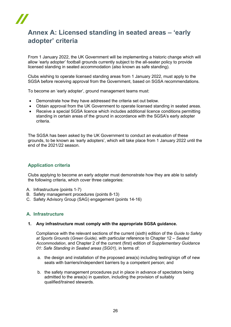

## <span id="page-25-0"></span>**Annex A: Licensed standing in seated areas – 'early adopter' criteria**

From 1 January 2022, the UK Government will be implementing a historic change which will allow 'early adopter' football grounds currently subject to the all-seater policy to provide licensed standing in seated accommodation (also known as safe standing).

Clubs wishing to operate licensed standing areas from 1 January 2022, must apply to the SGSA before receiving approval from the Government, based on SGSA recommendations.

To become an 'early adopter', ground management teams must:

- Demonstrate how they have addressed the criteria set out below.
- Obtain approval from the UK Government to operate licensed standing in seated areas.
- Receive a special SGSA licence which includes additional licence conditions permitting standing in certain areas of the ground in accordance with the SGSA's early adopter criteria.

The SGSA has been asked by the UK Government to conduct an evaluation of these grounds, to be known as 'early adopters', which will take place from 1 January 2022 until the end of the 2021/22 season.

## **Application criteria**

Clubs applying to become an early adopter must demonstrate how they are able to satisfy the following criteria, which cover three categories:

- A. Infrastructure (points 1-7)
- B. Safety management procedures (points 8-13)
- C. Safety Advisory Group (SAG) engagement (points 14-16)

#### **A. Infrastructure**

#### **1. Any infrastructure must comply with the appropriate SGSA guidance.**

Compliance with the relevant sections of the current (sixth) edition of the *Guide to Safety at Sports Grounds* (*Green Guide),* with particular reference to Chapter 12 – *Seated Accommodation*, and Chapter 2 of the current (first) edition of *Supplementary Guidance 01: Safe Standing in Seated areas (SG01)*, in terms of:

- a. the design and installation of the proposed area(s) including testing/sign off of new seats with barriers/independent barriers by a competent person; and
- b. the safety management procedures put in place in advance of spectators being admitted to the area(s) in question, including the provision of suitably qualified/trained stewards.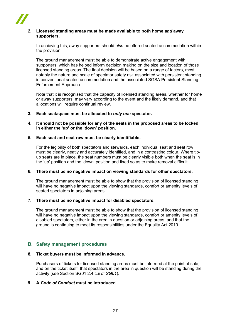

#### **2. Licensed standing areas must be made available to both home** *and* **away supporters.**

In achieving this, away supporters should *also* be offered seated accommodation within the provision.

The ground management must be able to demonstrate active engagement with supporters, which has helped inform decision making on the size and location of those licensed standing areas. The final decision will be based on a range of factors, most notably the nature and scale of spectator safety risk associated with persistent standing in conventional seated accommodation and the associated SGSA Persistent Standing Enforcement Approach.

Note that it is recognised that the capacity of licensed standing areas, whether for home or away supporters, may vary according to the event and the likely demand, and that allocations will require continual review.

**3. Each seat/space must be allocated to** *only one* **spectator.** 

#### **4. It should not be possible for any of the seats in the proposed areas to be locked in either the 'up' or the 'down' position.**

#### **5. Each seat and seat row must be clearly identifiable.**

For the legibility of both spectators and stewards, each individual seat and seat row must be clearly, neatly and accurately identified, and in a contrasting colour. Where tipup seats are in place, the seat numbers must be clearly visible both when the seat is in the 'up' position and the 'down' position and fixed so as to make removal difficult.

#### **6. There must be no negative impact on viewing standards for other spectators.**

The ground management must be able to show that the provision of licensed standing will have no negative impact upon the viewing standards, comfort or amenity levels of seated spectators in adjoining areas.

#### **7. There must be no negative impact for disabled spectators.**

The ground management must be able to show that the provision of licensed standing will have no negative impact upon the viewing standards, comfort or amenity levels of disabled spectators, either in the area in question or adjoining areas, and that the ground is continuing to meet its responsibilities under the Equality Act 2010.

#### **B. Safety management procedures**

#### **8. Ticket buyers must be informed in advance.**

Purchasers of tickets for licensed standing areas must be informed at the point of sale, and on the ticket itself, that spectators in the area in question will be standing during the activity (see Section SG01 2.4.c.ii of *SG01*).

#### **9. A** *Code of Conduct* **must be introduced.**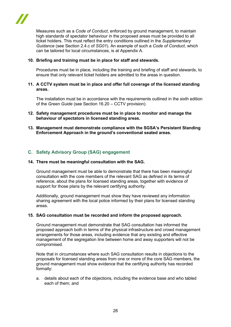Measures such as a *Code of Conduct*, enforced by ground management, to maintain high standards of spectator behaviour in the proposed areas must be provided to all ticket holders. This must reflect the entry conditions outlined in the *Supplementary Guidance* (see Section 2.4.c of *SG01*). An example of such a *Code of Conduct*, which can be tailored for local circumstances, is at Appendix A.

#### **10. Briefing and training must be in place for staff and stewards.**

Procedures must be in place, including the training and briefing of staff and stewards, to ensure that only relevant ticket holders are admitted to the areas in question.

#### **11. A CCTV system must be in place and offer full coverage of the licensed standing areas.**

The installation must be in accordance with the requirements outlined in the sixth edition of the *Green Guide* (see Section 16.20 – CCTV provision).

- **12. Safety management procedures must be in place to monitor and manage the behaviour of spectators in licensed standing areas.**
- **13. Management must demonstrate compliance with the SGSA's Persistent Standing Enforcement Approach in the ground's conventional seated areas.**

#### **C. Safety Advisory Group (SAG) engagement**

#### **14. There must be meaningful consultation with the SAG.**

Ground management must be able to demonstrate that there has been meaningful consultation with the core members of the relevant SAG as defined in its terms of reference, about the plans for licensed standing areas, together with evidence of support for those plans by the relevant certifying authority.

Additionally, ground management must show they have reviewed any information sharing agreement with the local police informed by their plans for licensed standing areas.

#### **15. SAG consultation must be recorded and inform the proposed approach.**

Ground management must demonstrate that SAG consultation has informed the proposed approach both in terms of the physical infrastructure and crowd management arrangements for those areas, including evidence that any existing and effective management of the segregation line between home and away supporters will not be compromised.

Note that in circumstances where such SAG consultation results in objections to the proposals for licensed standing areas from one or more of the core SAG members, the ground management must show evidence that the certifying authority has recorded formally:

a. details about each of the objections, including the evidence base and who tabled each of them; and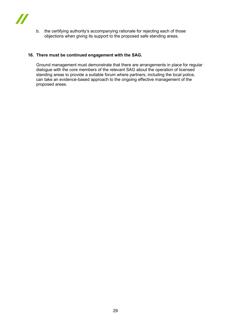

b. the certifying authority's accompanying rationale for rejecting each of those objections when giving its support to the proposed safe standing areas.

#### **16. There must be continued engagement with the SAG.**

Ground management must demonstrate that there are arrangements in place for regular dialogue with the core members of the relevant SAG about the operation of licensed standing areas to provide a suitable forum where partners, including the local police, can take an evidence-based approach to the ongoing effective management of the proposed areas.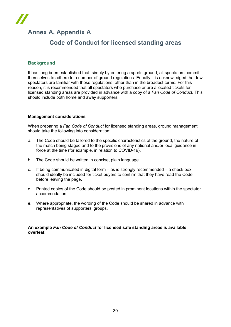## **Annex A, Appendix A**

## **Code of Conduct for licensed standing areas**

## **Background**

It has long been established that, simply by entering a sports ground, all spectators commit themselves to adhere to a number of ground regulations. Equally it is acknowledged that few spectators are familiar with those regulations, other than in the broadest terms. For this reason, it is recommended that all spectators who purchase or are allocated tickets for licensed standing areas are provided in advance with a copy of a *Fan Code of Conduct*. This should include both home and away supporters.

#### **Management considerations**

When preparing a *Fan Code of Conduct* for licensed standing areas, ground management should take the following into consideration:

- a. The Code should be tailored to the specific characteristics of the ground, the nature of the match being staged and to the provisions of any national and/or local guidance in force at the time (for example, in relation to COVID-19).
- b. The Code should be written in concise, plain language.
- c. If being communicated in digital form  $-$  as is strongly recommended  $-$  a check box should ideally be included for ticket buyers to confirm that they have read the Code, before leaving the page.
- d. Printed copies of the Code should be posted in prominent locations within the spectator accommodation.
- e. Where appropriate, the wording of the Code should be shared in advance with representatives of supporters' groups.

#### **An example** *Fan Code of Conduct* **for licensed safe standing areas is available overleaf.**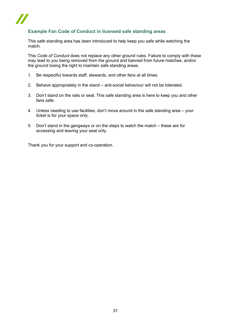

## **Example Fan Code of Conduct in licensed safe standing areas**

This safe standing area has been introduced to help keep you safe while watching the match.

This *Code of Conduct* does not replace any other ground rules. Failure to comply with these may lead to you being removed from the ground and banned from future matches, and/or the ground losing the right to maintain safe standing areas.

- 1. Be respectful towards staff, stewards, and other fans at all times.
- 2. Behave appropriately in the stand anti-social behaviour will not be tolerated.
- 3. Don't stand on the rails or seat. This safe standing area is here to keep you and other fans safe.
- 4. Unless needing to use facilities, don't move around in the safe standing area your ticket is for your space only.
- 5. Don't stand in the gangways or on the steps to watch the match these are for accessing and leaving your seat only.

Thank you for your support and co-operation.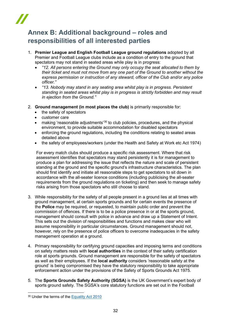## <span id="page-31-0"></span>**Annex B: Additional background – roles and responsibilities of all interested parties**

- 1. **Premier League and English Football League ground regulations** adopted by all Premier and Football League clubs include as a condition of entry to the ground that spectators may not stand in seated areas while play is in progress:
	- *"12. All persons entering the Ground may only occupy the seat allocated to them by their ticket and must not move from any one part of the Ground to another without the express permission or instruction of any steward, officer of the Club and/or any police officer."*
	- *"13. Nobody may stand in any seating area whilst play is in progress. Persistent standing in seated areas whilst play is in progress is strictly forbidden and may result in ejection from the Ground."*
- 2. **Ground management (in most places the club)** is primarily responsible for:
	- the safety of spectators
	- customer care
	- making 'reasonable adjustments'<sup>[30](#page-31-1)</sup> to club policies, procedures, and the physical environment, to provide suitable accommodation for disabled spectators
	- enforcing the ground regulations, including the conditions relating to seated areas detailed above
	- the safety of employees/workers (under the Health and Safety at Work etc Act 1974)

For every match clubs should produce a specific risk assessment. Where that risk assessment identifies that spectators may stand persistently it is for management to produce a plan for addressing the issue that reflects the nature and scale of persistent standing at the ground and the specific ground's infrastructure characteristics. The plan should first identify and initiate all reasonable steps to get spectators to sit down in accordance with the all-seater licence conditions (including publicising the all-seater requirements from the ground regulations on ticketing) and then seek to manage safety risks arising from those spectators who still choose to stand.

- 3. While responsibility for the safety of all people present in a ground lies at all times with ground management, at certain sports grounds and for certain events the presence of the **Police** may be required, or requested, to maintain public order and prevent the commission of offences. If there is to be a police presence in or at the sports ground, management should consult with police in advance and draw up a Statement of Intent. This sets out the division of responsibilities and functions and makes clear who will assume responsibility in particular circumstances. Ground management should not, however, rely on the presence of police officers to overcome inadequacies in the safety management operation at a ground.
- 4. Primary responsibility for certifying ground capacities and imposing terms and conditions on safety matters rests with **local authorities** in the context of their safety certification role at sports grounds. Ground management are responsible for the safety of spectators as well as their employees. If the **local authority** considers 'reasonable safety at the ground' is being compromised they have the statutory responsibility to take appropriate enforcement action under the provisions of the Safety of Sports Grounds Act 1975.
- 5. The **Sports Grounds Safety Authority (SGSA)** is the UK Government's expert body of sports ground safety. The SGSA's core statutory functions are set out in the Football

<span id="page-31-1"></span><sup>30</sup> Under the terms of the [Equality Act 2010](https://www.legislation.gov.uk/ukpga/1989/37/contents)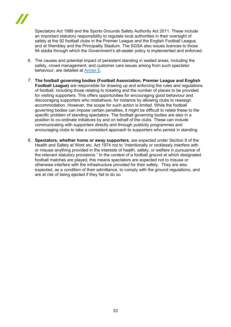

Spectators Act 1989 and the Sports Grounds Safety Authority Act 2011. These include an important statutory responsibility to regulate local authorities in their oversight of safety at the 92 football clubs in the Premier League and the English Football League, and at Wembley and the Principality Stadium. The SGSA also issues licences to those 94 stadia through which the Government's all-seater policy is implemented and enforced.

- 6. The causes and potential impact of persistent standing in seated areas, including the safety, crowd management, and customer care issues arising from such spectator behaviour, are detailed at [Annex E](#page-39-0).
- 7. **The football governing bodies (Football Association, Premier League and English Football League)** are responsible for drawing up and enforcing the rules and regulations of football, including those relating to ticketing and the number of places to be provided for visiting supporters. This offers opportunities for encouraging good behaviour and discouraging supporters who misbehave, for instance by allowing clubs to reassign accommodation. However, the scope for such action is limited. While the football governing bodies can impose certain penalties, it might be difficult to relate these to the specific problem of standing spectators. The football governing bodies are also in a position to co-ordinate initiatives by and on behalf of the clubs. These can include communicating with supporters directly and through publicity programmes and encouraging clubs to take a consistent approach to supporters who persist in standing.
- 8. **Spectators, whether home or away supporters**, are expected under Section 8 of the Health and Safety at Work etc. Act 1974 not to "intentionally or recklessly interfere with or misuse anything provided in the interests of health, safety, or welfare in pursuance of the relevant statutory provisions." In the context of a football ground at which designated football matches are played, this means spectators are expected not to misuse or otherwise interfere with the infrastructure provided for their safety. They are also expected, as a condition of their admittance, to comply with the ground regulations, and are at risk of being ejected if they fail to do so.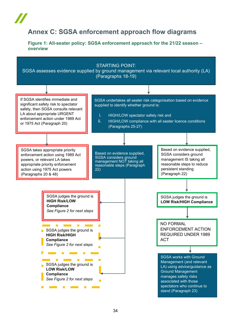## <span id="page-33-0"></span>**Annex C: SGSA enforcement approach flow diagrams**

<span id="page-33-1"></span>**Figure 1: All-seater policy: SGSA enforcement approach for the 21/22 season – overview**

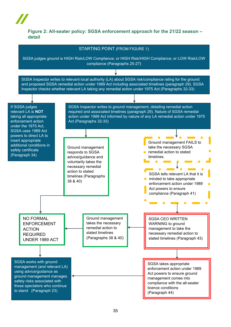## <span id="page-34-0"></span>**Figure 2: All-seater policy: SGSA enforcement approach for the 21/22 season – detail**

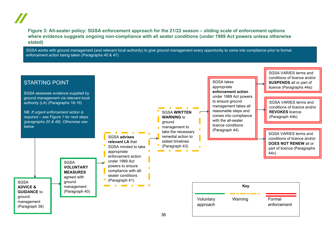**Figure 3: All-seater policy: SGSA enforcement approach for the 21/22 season – sliding scale of enforcement options where evidence suggests ongoing non-compliance with all seater conditions (under 1989 Act powers unless otherwise stated)**

SGSA works with ground management (and relevant local authority) to give ground management every opportunity to come into compliance prior to formal enforcement action being taken (Paragraphs 45 & 47)

<span id="page-35-0"></span>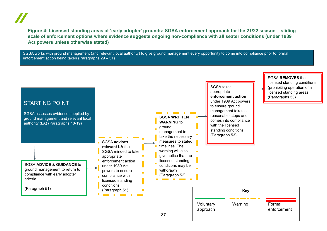**Figure 4: Licensed standing areas at 'early adopter' grounds: SGSA enforcement approach for the 21/22 season – sliding scale of enforcement options where evidence suggests ongoing non-compliance with all seater conditions (under 1989 Act powers unless otherwise stated)**

SGSA works with ground management (and relevant local authority) to give ground management every opportunity to come into compliance prior to formal enforcement action being taken (Paragraphs 29 – 31)

<span id="page-36-0"></span>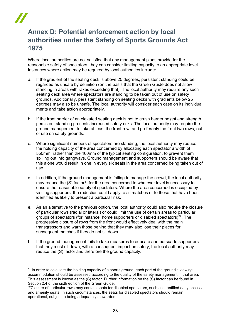## <span id="page-37-0"></span>**Annex D: Potential enforcement action by local authorities under the Safety of Sports Grounds Act 1975**

Where local authorities are not satisfied that any management plans provide for the reasonable safety of spectators, they can consider limiting capacity to an appropriate level. Instances where action may be required by local authorities include:

- a. If the gradient of the seating deck is above 25 degrees, persistent standing could be regarded as unsafe by definition (on the basis that the Green Guide does not allow standing in areas with rakes exceeding that). The local authority may require any such seating deck area where spectators are standing to be taken out of use on safety grounds. Additionally, persistent standing on seating decks with gradients below 25 degrees may also be unsafe. The local authority will consider each case on its individual merits and take action appropriately*.*
- b. If the front barrier of an elevated seating deck is not to crush barrier height and strength, persistent standing presents increased safety risks. The local authority may require the ground management to take at least the front row, and preferably the front two rows, out of use on safety grounds.
- c. Where significant numbers of spectators are standing, the local authority may reduce the holding capacity of the area concerned by allocating each spectator a width of 550mm, rather than the 460mm of the typical seating configuration, to prevent them spilling out into gangways. Ground management and supporters should be aware that this alone would result in one in every six seats in the area concerned being taken out of use.
- d. In addition, if the ground management is failing to manage the crowd, the local authority may reduce the  $(S)$  factor<sup>[31](#page-37-1)</sup> for the area concerned to whatever level is necessary to ensure the reasonable safety of spectators. Where the area concerned is occupied by visiting supporters, the reduction could apply to all matches or to those that have been identified as likely to present a particular risk.
- e. As an alternative to the previous option, the local authority could also require the closure of particular rows (radial or lateral) or could limit the use of certain areas to particular groups of spectators (for instance, home supporters or disabled spectators) $32$ . The progressive closure of rows from the front would effectively deal with the main transgressors and warn those behind that they may also lose their places for subsequent matches if they do not sit down.
- f. If the ground management fails to take measures to educate and persuade supporters that they must sit down, with a consequent impact on safety, the local authority may reduce the (S) factor and therefore the ground capacity.

<span id="page-37-1"></span><sup>&</sup>lt;sup>31</sup> In order to calculate the holding capacity of a sports ground, each part of the ground's viewing accommodation should be assessed according to the quality of the safety management in that area. This assessment is known as the (S) factor. Further information on the (S) factor can be found in Section 2.4 of the sixth edition of the Green Guide.

<span id="page-37-2"></span><sup>&</sup>lt;sup>32</sup>Closure of particular rows may contain seats for disabled spectators, such as identified easy access and amenity seats. In such circumstances, the seats for disabled spectators should remain operational, subject to being adequately stewarded.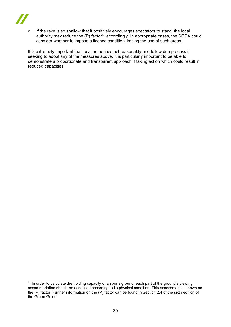

g. If the rake is so shallow that it positively encourages spectators to stand, the local authority may reduce the  $(P)$  factor<sup>[33](#page-38-0)</sup> accordingly. In appropriate cases, the SGSA could consider whether to impose a licence condition limiting the use of such areas.

It is extremely important that local authorities act reasonably and follow due process if seeking to adopt any of the measures above. It is particularly important to be able to demonstrate a proportionate and transparent approach if taking action which could result in reduced capacities.

<span id="page-38-0"></span><sup>&</sup>lt;sup>33</sup> In order to calculate the holding capacity of a sports ground, each part of the ground's viewing accommodation should be assessed according to its physical condition. This assessment is known as the (P) factor. Further information on the (P) factor can be found in Section 2.4 of the sixth edition of the Green Guide.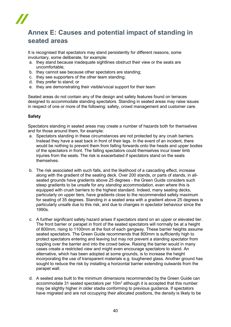## <span id="page-39-0"></span>**Annex E: Causes and potential impact of standing in seated areas**

It is recognised that spectators may stand persistently for different reasons, some involuntary, some deliberate, for example:

- a. they stand because inadequate sightlines obstruct their view or the seats are uncomfortable;
- b. they cannot see because other spectators are standing;
- c. they see supporters of the other team standing;
- d. they prefer to stand; or
- e. they are demonstrating their visible/vocal support for their team

Seated areas do not contain any of the design and safety features found on terraces designed to accommodate standing spectators. Standing in seated areas may raise issues in respect of one or more of the following: safety, crowd management and customer care.

#### **Safety**

Spectators standing in seated areas may create a number of hazards both for themselves and for those around them, for example:

- a. Spectators standing in these circumstances are not protected by any crush barriers. Instead they have a seat back in front of their legs. In the event of an incident, there would be nothing to prevent them from falling forwards onto the heads and upper bodies of the spectators in front. The falling spectators could themselves incur lower limb injuries from the seats. The risk is exacerbated if spectators stand on the seats themselves.
- b. The risk associated with such falls, and the likelihood of a cascading effect, increase along with the gradient of the seating deck. Over 200 stands, or parts of stands, in allseated grounds have gradients above 25 degrees - the Green Guide considers such steep gradients to be unsafe for any *standing* accommodation, even where this is equipped with crush barriers to the highest standard. Indeed, many seating decks, particularly on upper tiers, have gradients close to the recommended safety maximum for seating of 35 degrees. Standing in a seated area with a gradient above 25 degrees is particularly unsafe due to this risk, and due to changes in spectator behaviour since the 1990s.
- c. A further significant safety hazard arises if spectators stand on an upper or elevated tier. The front barrier or parapet in front of the seated spectators will normally be at a height of 800mm, rising to 1100mm at the foot of each gangway. These barrier heights assume seated spectators. The Green Guide recommends that 800mm is sufficiently high to protect spectators entering and leaving but may not prevent a standing spectator from toppling over the barrier and into the crowd below. Raising the barrier would in many cases create a restricted view and might even encourage spectators to stand. An alternative, which has been adopted at some grounds, is to increase the height incorporating the use of transparent materials e.g. toughened glass. Another ground has sought to reduce the risk by installing a horizontal barrier extending outwards from the parapet wall.
- d. A seated area built to the minimum dimensions recommended by the Green Guide can accommodate 31 seated spectators per 10m<sup>2</sup> although it is accepted that this number may be slightly higher in older stadia conforming to previous guidance. If spectators have migrated and are not occupying their allocated positions, the density is likely to be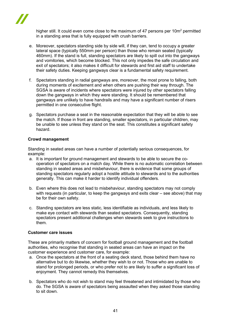

higher still. It could even come close to the maximum of 47 persons per 10m<sup>2</sup> permitted in a standing area that is fully equipped with crush barriers.

- e. Moreover, spectators standing side by side will, if they can, tend to occupy a greater lateral space (typically 550mm per person) than those who remain seated (typically 460mm). If the stand is full, standing spectators are likely to spill out into the gangways and vomitories, which become blocked. This not only impedes the safe circulation and exit of spectators; it also makes it difficult for stewards and first aid staff to undertake their safety duties. Keeping gangways clear is a fundamental safety requirement.
- f. Spectators standing in radial gangways are, moreover, the most prone to falling, both during moments of excitement and when others are pushing their way through. The SGSA is aware of incidents where spectators were injured by other spectators falling down the gangways in which they were standing. It should be remembered that gangways are unlikely to have handrails and may have a significant number of risers permitted in one consecutive flight.
- g. Spectators purchase a seat in the reasonable expectation that they will be able to see the match. If those in front are standing, smaller spectators, in particular children, may be unable to see unless they stand on the seat. This constitutes a significant safety hazard.

#### **Crowd management**

Standing in seated areas can have a number of potentially serious consequences, for example:

- a. It is important for ground management and stewards to be able to secure the cooperation of spectators on a match day. While there is no automatic correlation between standing in seated areas and misbehaviour, there is evidence that some groups of standing spectators regularly adopt a hostile attitude to stewards and to the authorities generally. This can make it harder to identify individual offenders.
- b. Even where this does not lead to misbehaviour, standing spectators may not comply with requests (in particular, to keep the gangways and exits clear – see above) that may be for their own safety.
- c. Standing spectators are less static, less identifiable as individuals, and less likely to make eye contact with stewards than seated spectators. Consequently, standing spectators present additional challenges when stewards seek to give instructions to them.

#### **Customer care issues**

These are primarily matters of concern for football ground management and the football authorities, who recognise that standing in seated areas can have an impact on the customer experience and customer care, for example:

- a. Once the spectators at the front of a seating deck stand, those behind them have no alternative but to do likewise, whether they wish to or not. Those who are unable to stand for prolonged periods, or who prefer not to are likely to suffer a significant loss of enjoyment. They cannot remedy this themselves.
- b. Spectators who do not wish to stand may feel threatened and intimidated by those who do. The SGSA is aware of spectators being assaulted when they asked those standing to sit down.